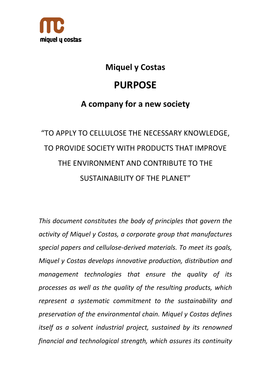

## **Miquel y Costas**

## **PURPOSE**

## **A company for a new society**

# "TO APPLY TO CELLULOSE THE NECESSARY KNOWLEDGE, TO PROVIDE SOCIETY WITH PRODUCTS THAT IMPROVE THE ENVIRONMENT AND CONTRIBUTE TO THE SUSTAINABILITY OF THE PLANET"

*This document constitutes the body of principles that govern the activity of Miquel y Costas, a corporate group that manufactures special papers and cellulose‐derived materials. To meet its goals, Miquel y Costas develops innovative production, distribution and management technologies that ensure the quality of its processes as well as the quality of the resulting products, which represent a systematic commitment to the sustainability and preservation of the environmental chain. Miquel y Costas defines itself as a solvent industrial project, sustained by its renowned financial and technological strength, which assures its continuity*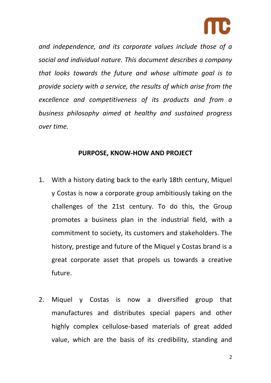

*and independence, and its corporate values include those of a social and individual nature. This document describes a company that looks towards the future and whose ultimate goal is to provide society with a service, the results of which arise from the excellence and competitiveness of its products and from a business philosophy aimed at healthy and sustained progress over time.* 

#### **PURPOSE, KNOW‐HOW AND PROJECT**

- 1. With a history dating back to the early 18th century, Miquel y Costas is now a corporate group ambitiously taking on the challenges of the 21st century. To do this, the Group promotes a business plan in the industrial field, with a commitment to society, its customers and stakeholders. The history, prestige and future of the Miquel y Costas brand is a great corporate asset that propels us towards a creative future.
- 2. Miquel y Costas is now a diversified group that manufactures and distributes special papers and other highly complex cellulose‐based materials of great added value, which are the basis of its credibility, standing and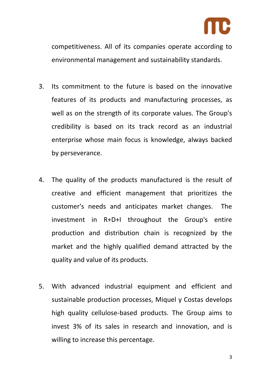

competitiveness. All of its companies operate according to environmental management and sustainability standards.

- 3. Its commitment to the future is based on the innovative features of its products and manufacturing processes, as well as on the strength of its corporate values. The Group's credibility is based on its track record as an industrial enterprise whose main focus is knowledge, always backed by perseverance.
- 4. The quality of the products manufactured is the result of creative and efficient management that prioritizes the customer's needs and anticipates market changes. The investment in R+D+I throughout the Group's entire production and distribution chain is recognized by the market and the highly qualified demand attracted by the quality and value of its products.
- 5. With advanced industrial equipment and efficient and sustainable production processes, Miquel y Costas develops high quality cellulose‐based products. The Group aims to invest 3% of its sales in research and innovation, and is willing to increase this percentage.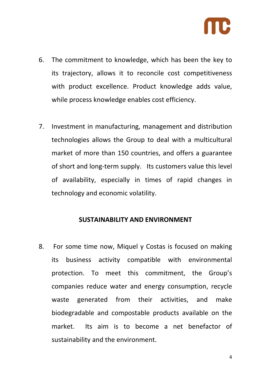

- 6. The commitment to knowledge, which has been the key to its trajectory, allows it to reconcile cost competitiveness with product excellence. Product knowledge adds value, while process knowledge enables cost efficiency.
- 7. Investment in manufacturing, management and distribution technologies allows the Group to deal with a multicultural market of more than 150 countries, and offers a guarantee of short and long‐term supply. Its customers value this level of availability, especially in times of rapid changes in technology and economic volatility.

#### **SUSTAINABILITY AND ENVIRONMENT**

8. For some time now, Miquel y Costas is focused on making its business activity compatible with environmental protection. To meet this commitment, the Group's companies reduce water and energy consumption, recycle waste generated from their activities, and make biodegradable and compostable products available on the market. Its aim is to become a net benefactor of sustainability and the environment.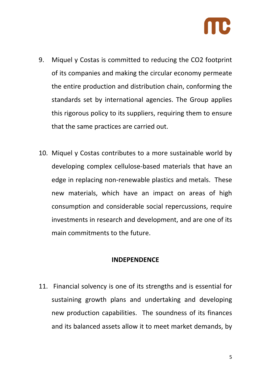

- 9. Miquel y Costas is committed to reducing the CO2 footprint of its companies and making the circular economy permeate the entire production and distribution chain, conforming the standards set by international agencies. The Group applies this rigorous policy to its suppliers, requiring them to ensure that the same practices are carried out.
- 10. Miquel y Costas contributes to a more sustainable world by developing complex cellulose‐based materials that have an edge in replacing non‐renewable plastics and metals. These new materials, which have an impact on areas of high consumption and considerable social repercussions, require investments in research and development, and are one of its main commitments to the future.

#### **INDEPENDENCE**

11. Financial solvency is one of its strengths and is essential for sustaining growth plans and undertaking and developing new production capabilities. The soundness of its finances and its balanced assets allow it to meet market demands, by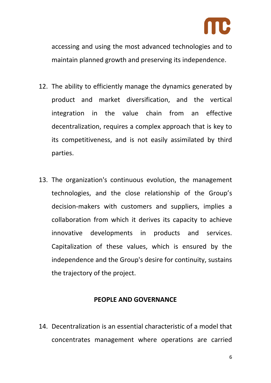

accessing and using the most advanced technologies and to maintain planned growth and preserving its independence.

- 12. The ability to efficiently manage the dynamics generated by product and market diversification, and the vertical integration in the value chain from an effective decentralization, requires a complex approach that is key to its competitiveness, and is not easily assimilated by third parties.
- 13. The organization's continuous evolution, the management technologies, and the close relationship of the Group's decision‐makers with customers and suppliers, implies a collaboration from which it derives its capacity to achieve innovative developments in products and services. Capitalization of these values, which is ensured by the independence and the Group's desire for continuity, sustains the trajectory of the project.

#### **PEOPLE AND GOVERNANCE**

14. Decentralization is an essential characteristic of a model that concentrates management where operations are carried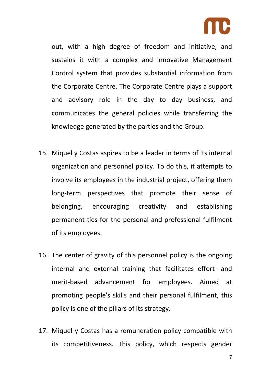

out, with a high degree of freedom and initiative, and sustains it with a complex and innovative Management Control system that provides substantial information from the Corporate Centre. The Corporate Centre plays a support and advisory role in the day to day business, and communicates the general policies while transferring the knowledge generated by the parties and the Group.

- 15. Miquel y Costas aspires to be a leader in terms of its internal organization and personnel policy. To do this, it attempts to involve its employees in the industrial project, offering them long-term perspectives that promote their sense of belonging, encouraging creativity and establishing permanent ties for the personal and professional fulfilment of its employees.
- 16. The center of gravity of this personnel policy is the ongoing internal and external training that facilitates effort‐ and merit‐based advancement for employees. Aimed at promoting people's skills and their personal fulfilment, this policy is one of the pillars of its strategy.
- 17. Miquel y Costas has a remuneration policy compatible with its competitiveness. This policy, which respects gender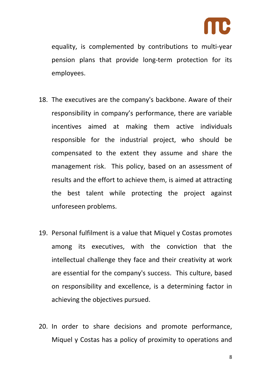

equality, is complemented by contributions to multi‐year pension plans that provide long‐term protection for its employees.

- 18. The executives are the company's backbone. Aware of their responsibility in company's performance, there are variable incentives aimed at making them active individuals responsible for the industrial project, who should be compensated to the extent they assume and share the management risk. This policy, based on an assessment of results and the effort to achieve them, is aimed at attracting the best talent while protecting the project against unforeseen problems.
- 19. Personal fulfilment is a value that Miquel y Costas promotes among its executives, with the conviction that the intellectual challenge they face and their creativity at work are essential for the company's success. This culture, based on responsibility and excellence, is a determining factor in achieving the objectives pursued.
- 20. In order to share decisions and promote performance, Miquel y Costas has a policy of proximity to operations and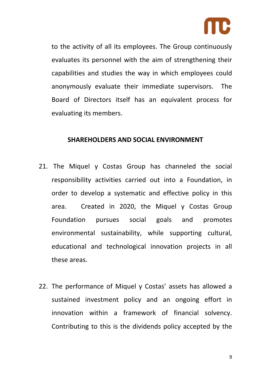

to the activity of all its employees. The Group continuously evaluates its personnel with the aim of strengthening their capabilities and studies the way in which employees could anonymously evaluate their immediate supervisors. The Board of Directors itself has an equivalent process for evaluating its members.

#### **SHAREHOLDERS AND SOCIAL ENVIRONMENT**

- 21. The Miquel y Costas Group has channeled the social responsibility activities carried out into a Foundation, in order to develop a systematic and effective policy in this area. Created in 2020, the Miquel y Costas Group Foundation pursues social goals and promotes environmental sustainability, while supporting cultural, educational and technological innovation projects in all these areas.
- 22. The performance of Miquel y Costas' assets has allowed a sustained investment policy and an ongoing effort in innovation within a framework of financial solvency. Contributing to this is the dividends policy accepted by the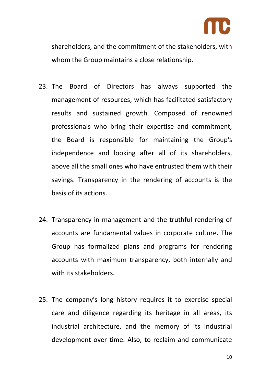

shareholders, and the commitment of the stakeholders, with whom the Group maintains a close relationship.

- 23. The Board of Directors has always supported the management of resources, which has facilitated satisfactory results and sustained growth. Composed of renowned professionals who bring their expertise and commitment, the Board is responsible for maintaining the Group's independence and looking after all of its shareholders, above all the small ones who have entrusted them with their savings. Transparency in the rendering of accounts is the basis of its actions.
- 24. Transparency in management and the truthful rendering of accounts are fundamental values in corporate culture. The Group has formalized plans and programs for rendering accounts with maximum transparency, both internally and with its stakeholders.
- 25. The company's long history requires it to exercise special care and diligence regarding its heritage in all areas, its industrial architecture, and the memory of its industrial development over time. Also, to reclaim and communicate